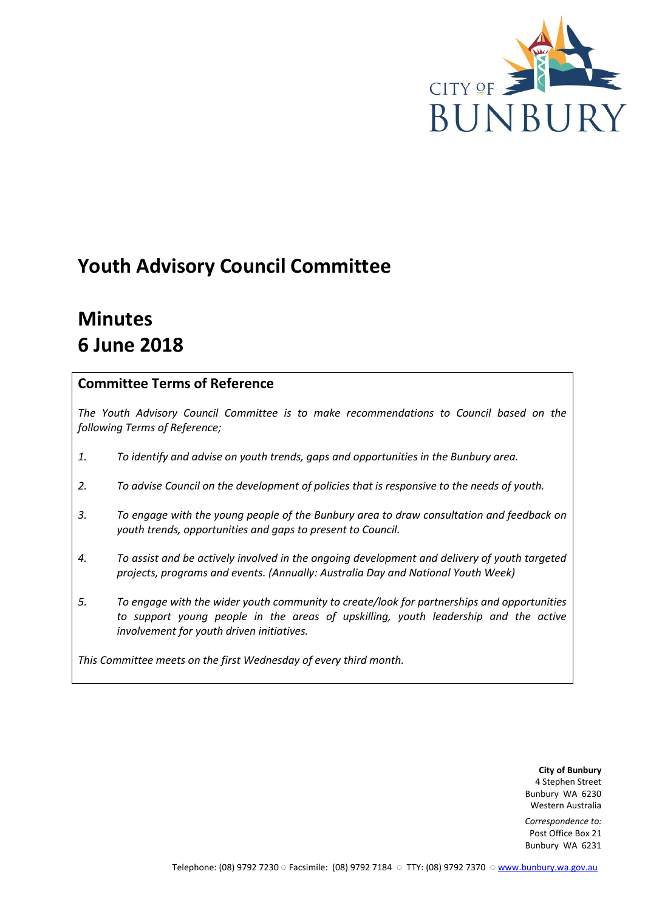

# **Youth Advisory Council Committee**

# **Minutes 6 June 2018**

# **Committee Terms of Reference**

*The Youth Advisory Council Committee is to make recommendations to Council based on the following Terms of Reference;*

- *1. To identify and advise on youth trends, gaps and opportunities in the Bunbury area.*
- *2. To advise Council on the development of policies that is responsive to the needs of youth.*
- *3. To engage with the young people of the Bunbury area to draw consultation and feedback on youth trends, opportunities and gaps to present to Council.*
- *4. To assist and be actively involved in the ongoing development and delivery of youth targeted projects, programs and events. (Annually: Australia Day and National Youth Week)*
- *5. To engage with the wider youth community to create/look for partnerships and opportunities*  to support young people in the areas of upskilling, youth leadership and the active *involvement for youth driven initiatives.*

*This Committee meets on the first Wednesday of every third month.*

**City of Bunbury** 4 Stephen Street Bunbury WA 6230 Western Australia

*Correspondence to:* Post Office Box 21 Bunbury WA 6231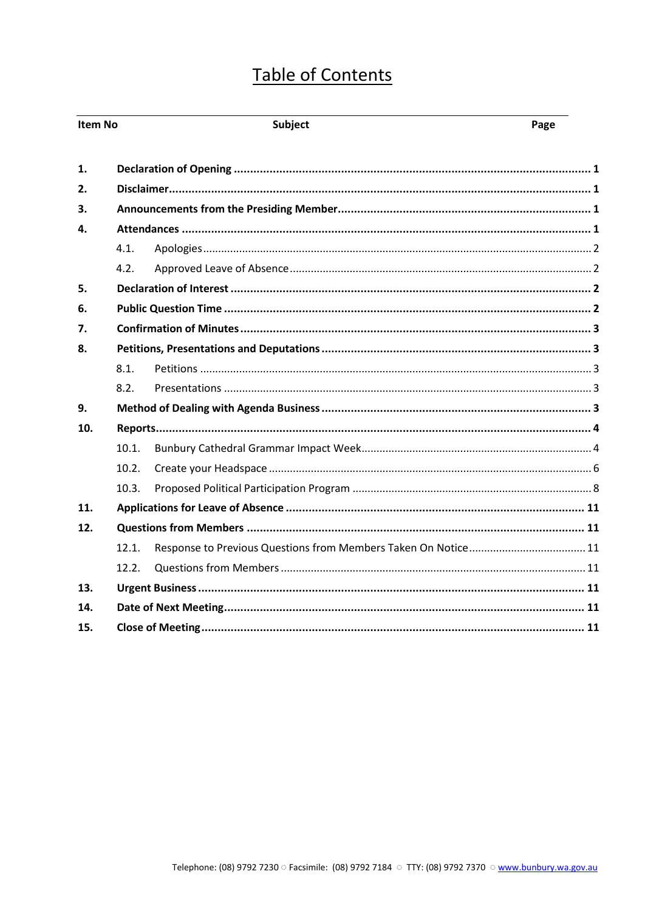# **Table of Contents**

| Item No        |       | <b>Subject</b> | Page |  |
|----------------|-------|----------------|------|--|
| $\mathbf{1}$ . |       |                |      |  |
| 2.             |       |                |      |  |
| 3.             |       |                |      |  |
| 4.             |       |                |      |  |
|                | 4.1.  |                |      |  |
|                | 4.2.  |                |      |  |
| 5.             |       |                |      |  |
| 6.             |       |                |      |  |
| 7.             |       |                |      |  |
| 8.             |       |                |      |  |
|                | 8.1.  |                |      |  |
|                | 8.2.  |                |      |  |
| 9.             |       |                |      |  |
| 10.            |       |                |      |  |
|                | 10.1. |                |      |  |
|                | 10.2. |                |      |  |
|                | 10.3. |                |      |  |
| 11.            |       |                |      |  |
| 12.            |       |                |      |  |
|                | 12.1. |                |      |  |
|                | 12.2. |                |      |  |
| 13.            |       |                |      |  |
| 14.            |       |                |      |  |
| 15.            |       |                |      |  |
|                |       |                |      |  |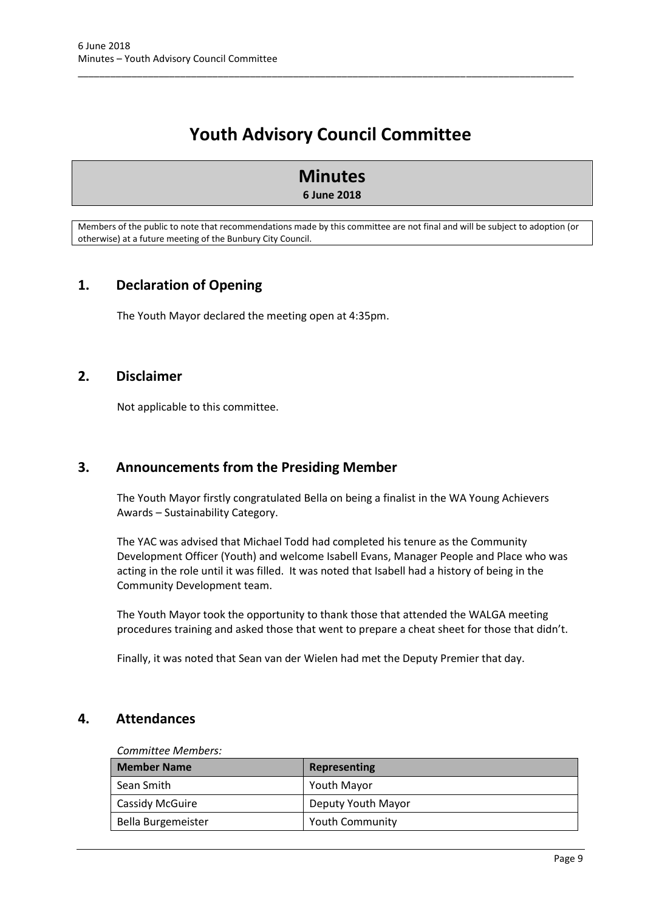# **Youth Advisory Council Committee**

\_\_\_\_\_\_\_\_\_\_\_\_\_\_\_\_\_\_\_\_\_\_\_\_\_\_\_\_\_\_\_\_\_\_\_\_\_\_\_\_\_\_\_\_\_\_\_\_\_\_\_\_\_\_\_\_\_\_\_\_\_\_\_\_\_\_\_\_\_\_\_\_\_\_\_\_\_\_\_\_\_\_\_\_\_\_\_\_\_\_\_\_

# **Minutes 6 June 2018**

Members of the public to note that recommendations made by this committee are not final and will be subject to adoption (or otherwise) at a future meeting of the Bunbury City Council.

# <span id="page-2-0"></span>**1. Declaration of Opening**

The Youth Mayor declared the meeting open at 4:35pm.

# <span id="page-2-1"></span>**2. Disclaimer**

Not applicable to this committee.

# <span id="page-2-2"></span>**3. Announcements from the Presiding Member**

The Youth Mayor firstly congratulated Bella on being a finalist in the WA Young Achievers Awards – Sustainability Category.

The YAC was advised that Michael Todd had completed his tenure as the Community Development Officer (Youth) and welcome Isabell Evans, Manager People and Place who was acting in the role until it was filled. It was noted that Isabell had a history of being in the Community Development team.

The Youth Mayor took the opportunity to thank those that attended the WALGA meeting procedures training and asked those that went to prepare a cheat sheet for those that didn't.

Finally, it was noted that Sean van der Wielen had met the Deputy Premier that day.

# <span id="page-2-3"></span>**4. Attendances**

#### *Committee Members:*

| <b>Member Name</b> | Representing           |
|--------------------|------------------------|
| Sean Smith         | <b>Youth Mayor</b>     |
| Cassidy McGuire    | Deputy Youth Mayor     |
| Bella Burgemeister | <b>Youth Community</b> |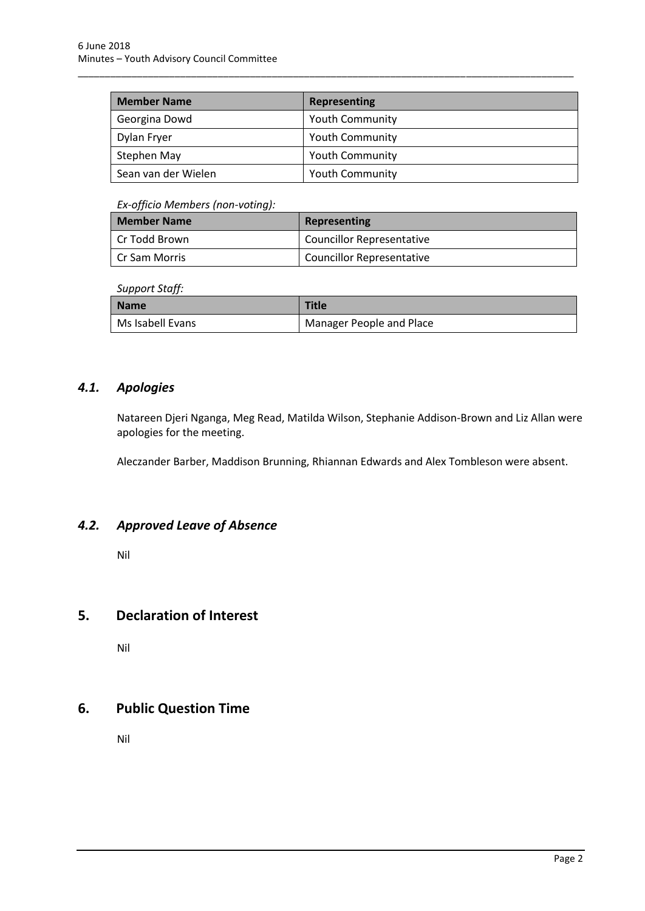| <b>Member Name</b>  | <b>Representing</b>    |
|---------------------|------------------------|
| Georgina Dowd       | <b>Youth Community</b> |
| Dylan Fryer         | <b>Youth Community</b> |
| Stephen May         | <b>Youth Community</b> |
| Sean van der Wielen | Youth Community        |

\_\_\_\_\_\_\_\_\_\_\_\_\_\_\_\_\_\_\_\_\_\_\_\_\_\_\_\_\_\_\_\_\_\_\_\_\_\_\_\_\_\_\_\_\_\_\_\_\_\_\_\_\_\_\_\_\_\_\_\_\_\_\_\_\_\_\_\_\_\_\_\_\_\_\_\_\_\_\_\_\_\_\_\_\_\_\_\_\_\_\_\_

#### *Ex-officio Members (non-voting):*

| <b>Member Name</b> | Representing                     |
|--------------------|----------------------------------|
| l Cr Todd Brown    | <b>Councillor Representative</b> |
| LCr Sam Morris     | <b>Councillor Representative</b> |

#### *Support Staff:*

| <b>Name</b>      | <b>Title</b>             |
|------------------|--------------------------|
| Ms Isabell Evans | Manager People and Place |

# <span id="page-3-0"></span>*4.1. Apologies*

Natareen Djeri Nganga, Meg Read, Matilda Wilson, Stephanie Addison-Brown and Liz Allan were apologies for the meeting.

Aleczander Barber, Maddison Brunning, Rhiannan Edwards and Alex Tombleson were absent.

## <span id="page-3-1"></span>*4.2. Approved Leave of Absence*

Nil

# <span id="page-3-2"></span>**5. Declaration of Interest**

Nil

# <span id="page-3-3"></span>**6. Public Question Time**

Nil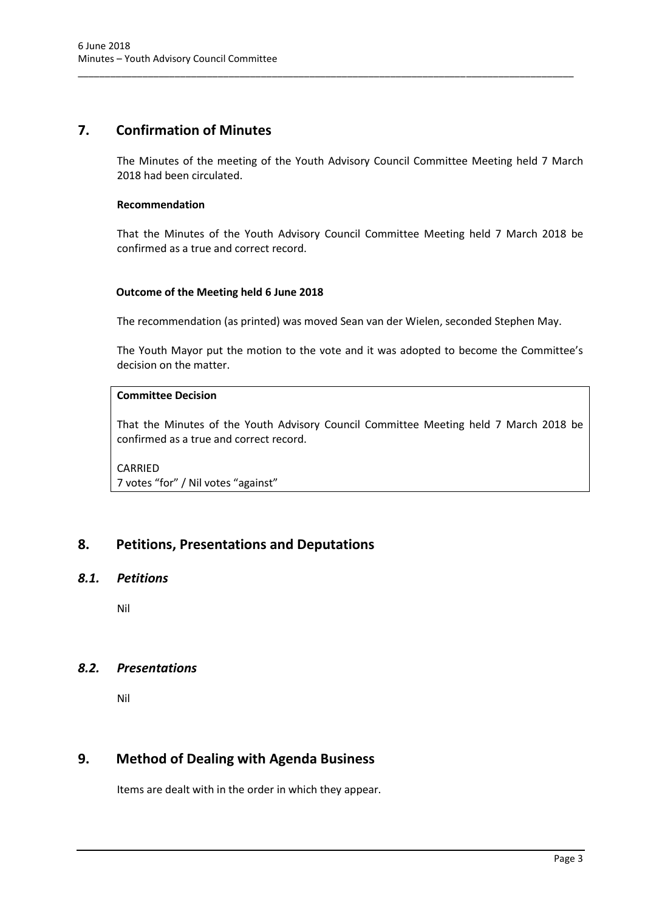# <span id="page-4-0"></span>**7. Confirmation of Minutes**

The Minutes of the meeting of the Youth Advisory Council Committee Meeting held 7 March 2018 had been circulated.

\_\_\_\_\_\_\_\_\_\_\_\_\_\_\_\_\_\_\_\_\_\_\_\_\_\_\_\_\_\_\_\_\_\_\_\_\_\_\_\_\_\_\_\_\_\_\_\_\_\_\_\_\_\_\_\_\_\_\_\_\_\_\_\_\_\_\_\_\_\_\_\_\_\_\_\_\_\_\_\_\_\_\_\_\_\_\_\_\_\_\_\_

#### **Recommendation**

That the Minutes of the Youth Advisory Council Committee Meeting held 7 March 2018 be confirmed as a true and correct record.

#### **Outcome of the Meeting held 6 June 2018**

The recommendation (as printed) was moved Sean van der Wielen, seconded Stephen May.

The Youth Mayor put the motion to the vote and it was adopted to become the Committee's decision on the matter.

### **Committee Decision**

That the Minutes of the Youth Advisory Council Committee Meeting held 7 March 2018 be confirmed as a true and correct record.

### CARRIED 7 votes "for" / Nil votes "against"

# <span id="page-4-1"></span>**8. Petitions, Presentations and Deputations**

#### <span id="page-4-2"></span>*8.1. Petitions*

Nil

### <span id="page-4-3"></span>*8.2. Presentations*

Nil

# <span id="page-4-4"></span>**9. Method of Dealing with Agenda Business**

Items are dealt with in the order in which they appear.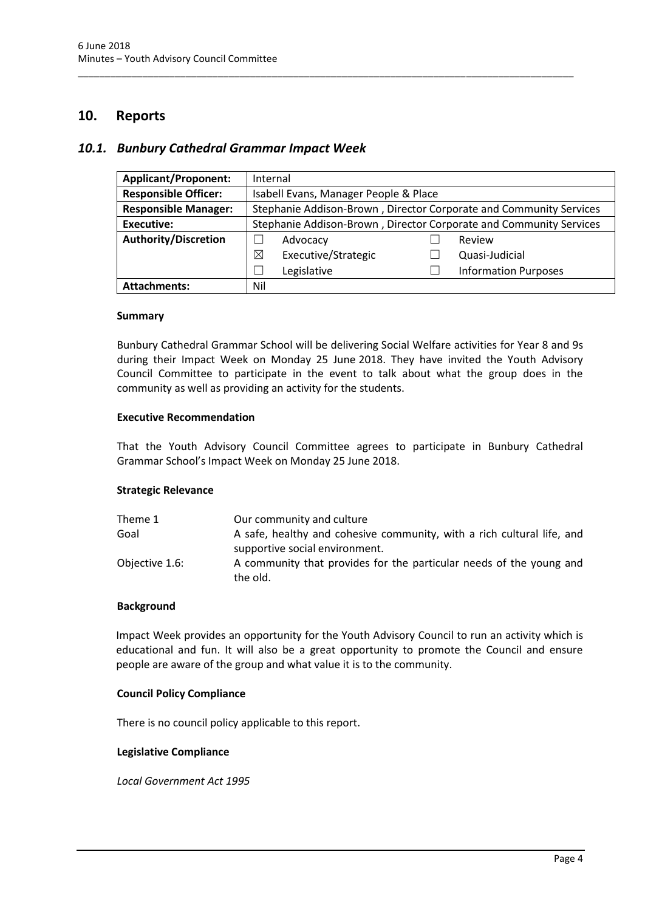## <span id="page-5-0"></span>**10. Reports**

#### <span id="page-5-1"></span>*10.1. Bunbury Cathedral Grammar Impact Week*

| <b>Applicant/Proponent:</b> | Internal                                                           |                     |  |                             |
|-----------------------------|--------------------------------------------------------------------|---------------------|--|-----------------------------|
| <b>Responsible Officer:</b> | Isabell Evans, Manager People & Place                              |                     |  |                             |
| <b>Responsible Manager:</b> | Stephanie Addison-Brown, Director Corporate and Community Services |                     |  |                             |
| Executive:                  | Stephanie Addison-Brown, Director Corporate and Community Services |                     |  |                             |
| <b>Authority/Discretion</b> |                                                                    | Advocacy            |  | Review                      |
|                             | $\boxtimes$                                                        | Executive/Strategic |  | Quasi-Judicial              |
|                             |                                                                    | Legislative         |  | <b>Information Purposes</b> |
| <b>Attachments:</b>         | Nil                                                                |                     |  |                             |

\_\_\_\_\_\_\_\_\_\_\_\_\_\_\_\_\_\_\_\_\_\_\_\_\_\_\_\_\_\_\_\_\_\_\_\_\_\_\_\_\_\_\_\_\_\_\_\_\_\_\_\_\_\_\_\_\_\_\_\_\_\_\_\_\_\_\_\_\_\_\_\_\_\_\_\_\_\_\_\_\_\_\_\_\_\_\_\_\_\_\_\_

#### **Summary**

Bunbury Cathedral Grammar School will be delivering Social Welfare activities for Year 8 and 9s during their Impact Week on Monday 25 June 2018. They have invited the Youth Advisory Council Committee to participate in the event to talk about what the group does in the community as well as providing an activity for the students.

#### **Executive Recommendation**

That the Youth Advisory Council Committee agrees to participate in Bunbury Cathedral Grammar School's Impact Week on Monday 25 June 2018.

#### **Strategic Relevance**

| Theme 1        | Our community and culture                                                       |
|----------------|---------------------------------------------------------------------------------|
| Goal           | A safe, healthy and cohesive community, with a rich cultural life, and          |
|                | supportive social environment.                                                  |
| Objective 1.6: | A community that provides for the particular needs of the young and<br>the old. |

#### **Background**

Impact Week provides an opportunity for the Youth Advisory Council to run an activity which is educational and fun. It will also be a great opportunity to promote the Council and ensure people are aware of the group and what value it is to the community.

#### **Council Policy Compliance**

There is no council policy applicable to this report.

#### **Legislative Compliance**

*Local Government Act 1995*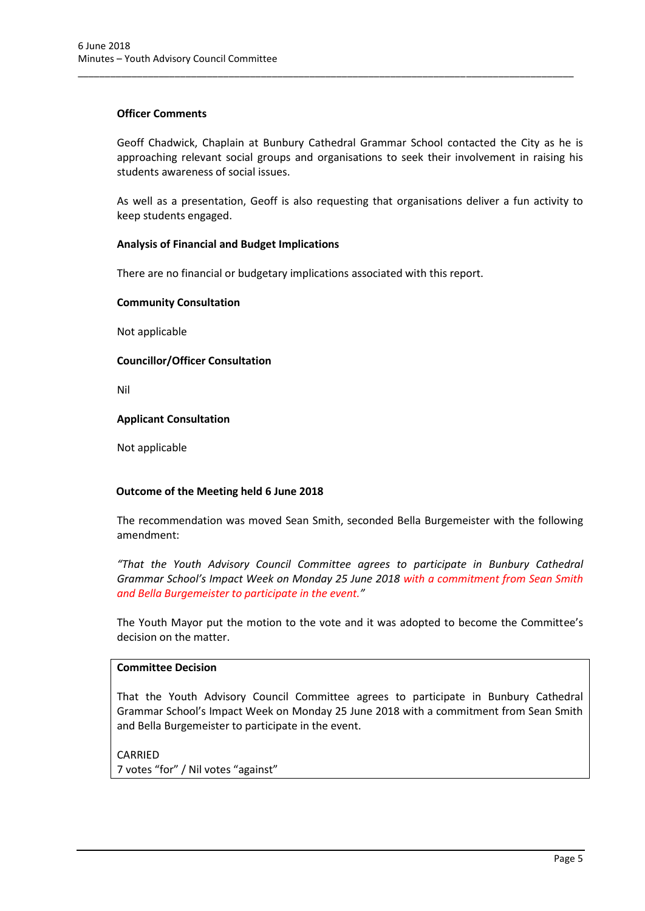#### **Officer Comments**

Geoff Chadwick, Chaplain at Bunbury Cathedral Grammar School contacted the City as he is approaching relevant social groups and organisations to seek their involvement in raising his students awareness of social issues.

\_\_\_\_\_\_\_\_\_\_\_\_\_\_\_\_\_\_\_\_\_\_\_\_\_\_\_\_\_\_\_\_\_\_\_\_\_\_\_\_\_\_\_\_\_\_\_\_\_\_\_\_\_\_\_\_\_\_\_\_\_\_\_\_\_\_\_\_\_\_\_\_\_\_\_\_\_\_\_\_\_\_\_\_\_\_\_\_\_\_\_\_

As well as a presentation, Geoff is also requesting that organisations deliver a fun activity to keep students engaged.

#### **Analysis of Financial and Budget Implications**

There are no financial or budgetary implications associated with this report.

#### **Community Consultation**

Not applicable

#### **Councillor/Officer Consultation**

Nil

#### **Applicant Consultation**

Not applicable

#### **Outcome of the Meeting held 6 June 2018**

The recommendation was moved Sean Smith, seconded Bella Burgemeister with the following amendment:

*"That the Youth Advisory Council Committee agrees to participate in Bunbury Cathedral Grammar School's Impact Week on Monday 25 June 2018 with a commitment from Sean Smith and Bella Burgemeister to participate in the event."*

The Youth Mayor put the motion to the vote and it was adopted to become the Committee's decision on the matter.

#### **Committee Decision**

That the Youth Advisory Council Committee agrees to participate in Bunbury Cathedral Grammar School's Impact Week on Monday 25 June 2018 with a commitment from Sean Smith and Bella Burgemeister to participate in the event.

CARRIED

7 votes "for" / Nil votes "against"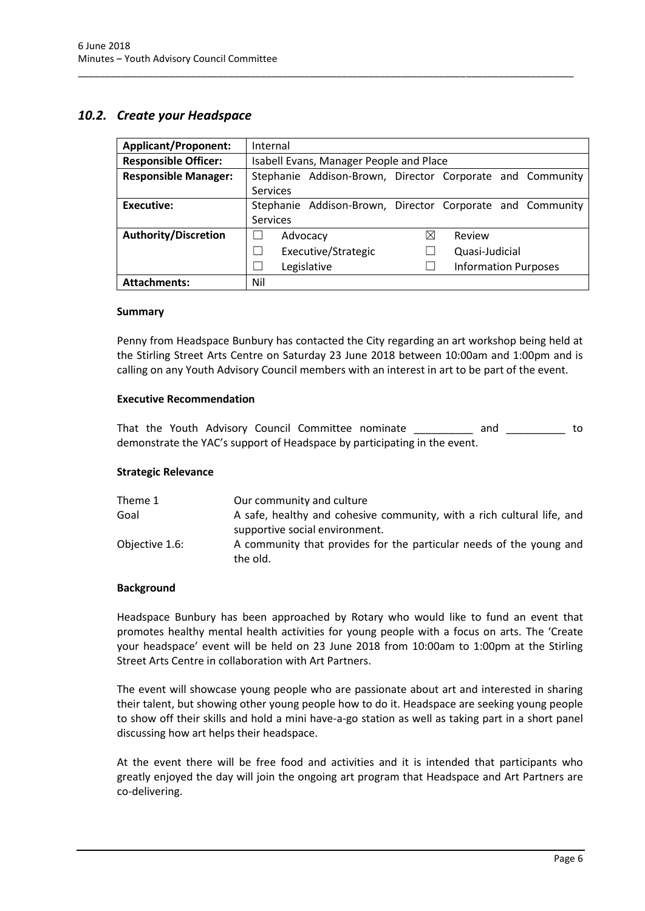### <span id="page-7-0"></span>*10.2. Create your Headspace*

| <b>Applicant/Proponent:</b> | Internal                                                    |  |  |
|-----------------------------|-------------------------------------------------------------|--|--|
| <b>Responsible Officer:</b> | Isabell Evans, Manager People and Place                     |  |  |
| <b>Responsible Manager:</b> | Stephanie Addison-Brown, Director Corporate and Community   |  |  |
|                             | <b>Services</b>                                             |  |  |
| Executive:                  | Stephanie Addison-Brown, Director Corporate and Community   |  |  |
|                             | <b>Services</b>                                             |  |  |
| <b>Authority/Discretion</b> | ⊠<br>Review<br>Advocacy                                     |  |  |
|                             | Executive/Strategic<br>Quasi-Judicial<br>$\mathcal{L}$      |  |  |
|                             | Legislative<br><b>Information Purposes</b><br>$\mathcal{L}$ |  |  |
| <b>Attachments:</b>         | Nil                                                         |  |  |

\_\_\_\_\_\_\_\_\_\_\_\_\_\_\_\_\_\_\_\_\_\_\_\_\_\_\_\_\_\_\_\_\_\_\_\_\_\_\_\_\_\_\_\_\_\_\_\_\_\_\_\_\_\_\_\_\_\_\_\_\_\_\_\_\_\_\_\_\_\_\_\_\_\_\_\_\_\_\_\_\_\_\_\_\_\_\_\_\_\_\_\_

#### **Summary**

Penny from Headspace Bunbury has contacted the City regarding an art workshop being held at the Stirling Street Arts Centre on Saturday 23 June 2018 between 10:00am and 1:00pm and is calling on any Youth Advisory Council members with an interest in art to be part of the event.

#### **Executive Recommendation**

That the Youth Advisory Council Committee nominate \_\_\_\_\_\_\_\_\_\_ and \_\_\_\_\_\_\_\_\_\_ to demonstrate the YAC's support of Headspace by participating in the event.

#### **Strategic Relevance**

| Theme 1        | Our community and culture                                                       |
|----------------|---------------------------------------------------------------------------------|
| Goal           | A safe, healthy and cohesive community, with a rich cultural life, and          |
|                | supportive social environment.                                                  |
| Objective 1.6: | A community that provides for the particular needs of the young and<br>the old. |

#### **Background**

Headspace Bunbury has been approached by Rotary who would like to fund an event that promotes healthy mental health activities for young people with a focus on arts. The 'Create your headspace' event will be held on 23 June 2018 from 10:00am to 1:00pm at the Stirling Street Arts Centre in collaboration with Art Partners.

The event will showcase young people who are passionate about art and interested in sharing their talent, but showing other young people how to do it. Headspace are seeking young people to show off their skills and hold a mini have-a-go station as well as taking part in a short panel discussing how art helps their headspace.

At the event there will be free food and activities and it is intended that participants who greatly enjoyed the day will join the ongoing art program that Headspace and Art Partners are co-delivering.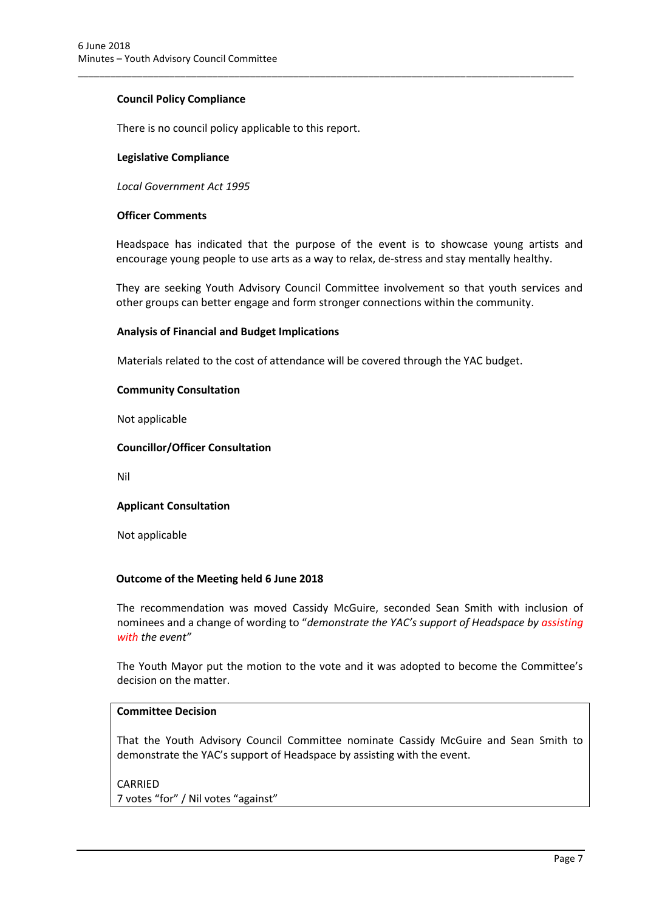#### **Council Policy Compliance**

There is no council policy applicable to this report.

#### **Legislative Compliance**

*Local Government Act 1995*

#### **Officer Comments**

Headspace has indicated that the purpose of the event is to showcase young artists and encourage young people to use arts as a way to relax, de-stress and stay mentally healthy.

\_\_\_\_\_\_\_\_\_\_\_\_\_\_\_\_\_\_\_\_\_\_\_\_\_\_\_\_\_\_\_\_\_\_\_\_\_\_\_\_\_\_\_\_\_\_\_\_\_\_\_\_\_\_\_\_\_\_\_\_\_\_\_\_\_\_\_\_\_\_\_\_\_\_\_\_\_\_\_\_\_\_\_\_\_\_\_\_\_\_\_\_

They are seeking Youth Advisory Council Committee involvement so that youth services and other groups can better engage and form stronger connections within the community.

#### **Analysis of Financial and Budget Implications**

Materials related to the cost of attendance will be covered through the YAC budget.

#### **Community Consultation**

Not applicable

#### **Councillor/Officer Consultation**

Nil

#### **Applicant Consultation**

Not applicable

#### **Outcome of the Meeting held 6 June 2018**

The recommendation was moved Cassidy McGuire, seconded Sean Smith with inclusion of nominees and a change of wording to "*demonstrate the YAC's support of Headspace by assisting with the event"*

The Youth Mayor put the motion to the vote and it was adopted to become the Committee's decision on the matter.

#### **Committee Decision**

That the Youth Advisory Council Committee nominate Cassidy McGuire and Sean Smith to demonstrate the YAC's support of Headspace by assisting with the event.

# CARRIED

7 votes "for" / Nil votes "against"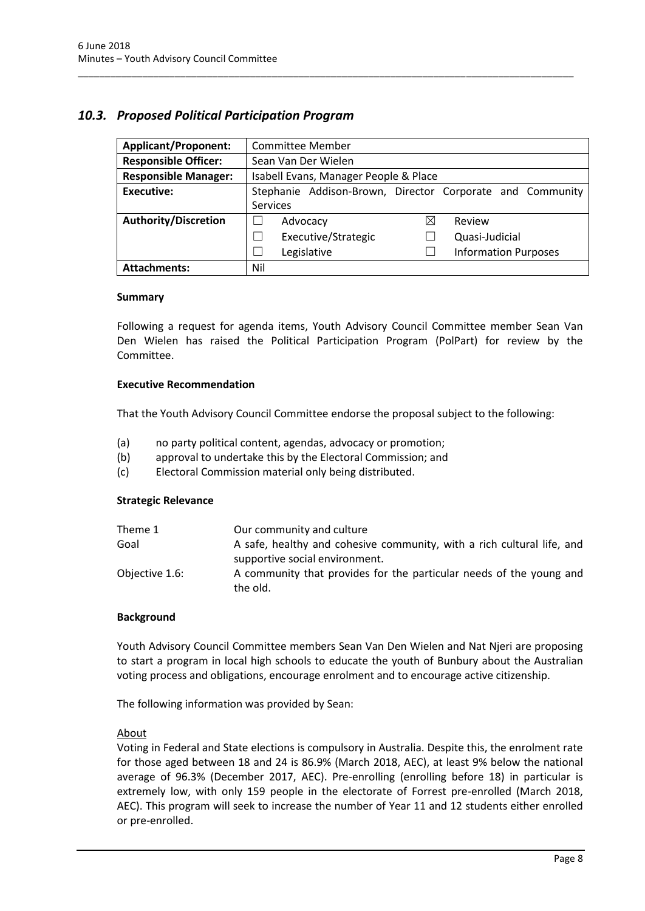# <span id="page-9-0"></span>*10.3. Proposed Political Participation Program*

| <b>Applicant/Proponent:</b> | <b>Committee Member</b>                                   |  |
|-----------------------------|-----------------------------------------------------------|--|
| <b>Responsible Officer:</b> | Sean Van Der Wielen                                       |  |
| <b>Responsible Manager:</b> | Isabell Evans, Manager People & Place                     |  |
| <b>Executive:</b>           | Stephanie Addison-Brown, Director Corporate and Community |  |
|                             | <b>Services</b>                                           |  |
| <b>Authority/Discretion</b> | ⊠<br>Review<br>Advocacy                                   |  |
|                             | Executive/Strategic<br>Quasi-Judicial                     |  |
|                             | Legislative<br><b>Information Purposes</b>                |  |
| <b>Attachments:</b>         | Nil                                                       |  |

\_\_\_\_\_\_\_\_\_\_\_\_\_\_\_\_\_\_\_\_\_\_\_\_\_\_\_\_\_\_\_\_\_\_\_\_\_\_\_\_\_\_\_\_\_\_\_\_\_\_\_\_\_\_\_\_\_\_\_\_\_\_\_\_\_\_\_\_\_\_\_\_\_\_\_\_\_\_\_\_\_\_\_\_\_\_\_\_\_\_\_\_

#### **Summary**

Following a request for agenda items, Youth Advisory Council Committee member Sean Van Den Wielen has raised the Political Participation Program (PolPart) for review by the Committee.

#### **Executive Recommendation**

That the Youth Advisory Council Committee endorse the proposal subject to the following:

- (a) no party political content, agendas, advocacy or promotion;
- (b) approval to undertake this by the Electoral Commission; and
- (c) Electoral Commission material only being distributed.

#### **Strategic Relevance**

| Theme 1        | Our community and culture                                                       |
|----------------|---------------------------------------------------------------------------------|
| Goal           | A safe, healthy and cohesive community, with a rich cultural life, and          |
|                | supportive social environment.                                                  |
| Objective 1.6: | A community that provides for the particular needs of the young and<br>the old. |

#### **Background**

Youth Advisory Council Committee members Sean Van Den Wielen and Nat Njeri are proposing to start a program in local high schools to educate the youth of Bunbury about the Australian voting process and obligations, encourage enrolment and to encourage active citizenship.

The following information was provided by Sean:

#### **About**

Voting in Federal and State elections is compulsory in Australia. Despite this, the enrolment rate for those aged between 18 and 24 is 86.9% (March 2018, AEC), at least 9% below the national average of 96.3% (December 2017, AEC). Pre-enrolling (enrolling before 18) in particular is extremely low, with only 159 people in the electorate of Forrest pre-enrolled (March 2018, AEC). This program will seek to increase the number of Year 11 and 12 students either enrolled or pre-enrolled.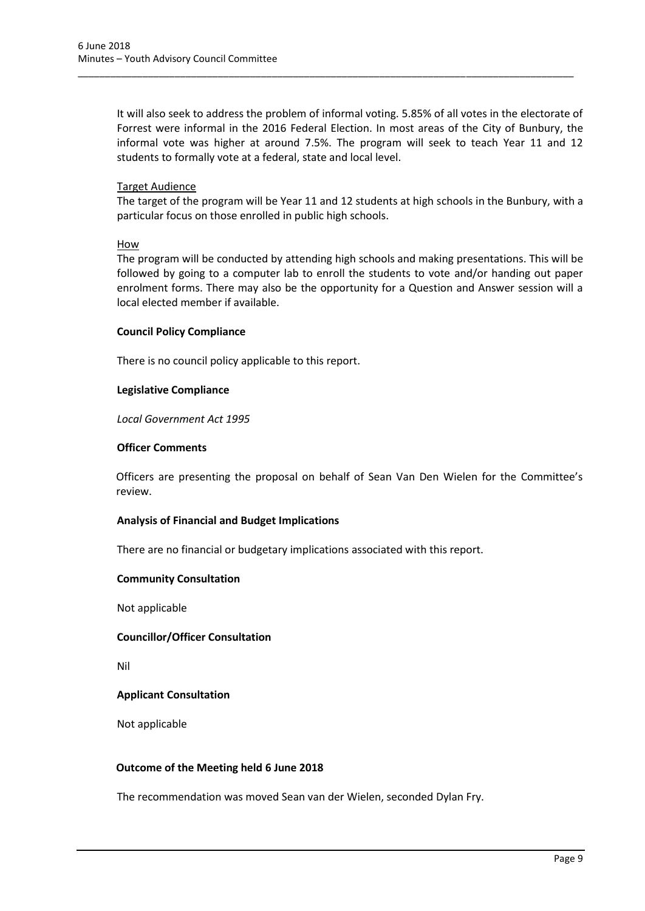It will also seek to address the problem of informal voting. 5.85% of all votes in the electorate of Forrest were informal in the 2016 Federal Election. In most areas of the City of Bunbury, the informal vote was higher at around 7.5%. The program will seek to teach Year 11 and 12 students to formally vote at a federal, state and local level.

\_\_\_\_\_\_\_\_\_\_\_\_\_\_\_\_\_\_\_\_\_\_\_\_\_\_\_\_\_\_\_\_\_\_\_\_\_\_\_\_\_\_\_\_\_\_\_\_\_\_\_\_\_\_\_\_\_\_\_\_\_\_\_\_\_\_\_\_\_\_\_\_\_\_\_\_\_\_\_\_\_\_\_\_\_\_\_\_\_\_\_\_

#### Target Audience

The target of the program will be Year 11 and 12 students at high schools in the Bunbury, with a particular focus on those enrolled in public high schools.

#### How

The program will be conducted by attending high schools and making presentations. This will be followed by going to a computer lab to enroll the students to vote and/or handing out paper enrolment forms. There may also be the opportunity for a Question and Answer session will a local elected member if available.

#### **Council Policy Compliance**

There is no council policy applicable to this report.

#### **Legislative Compliance**

*Local Government Act 1995*

#### **Officer Comments**

Officers are presenting the proposal on behalf of Sean Van Den Wielen for the Committee's review.

#### **Analysis of Financial and Budget Implications**

There are no financial or budgetary implications associated with this report.

#### **Community Consultation**

Not applicable

#### **Councillor/Officer Consultation**

Nil

#### **Applicant Consultation**

Not applicable

#### **Outcome of the Meeting held 6 June 2018**

The recommendation was moved Sean van der Wielen, seconded Dylan Fry.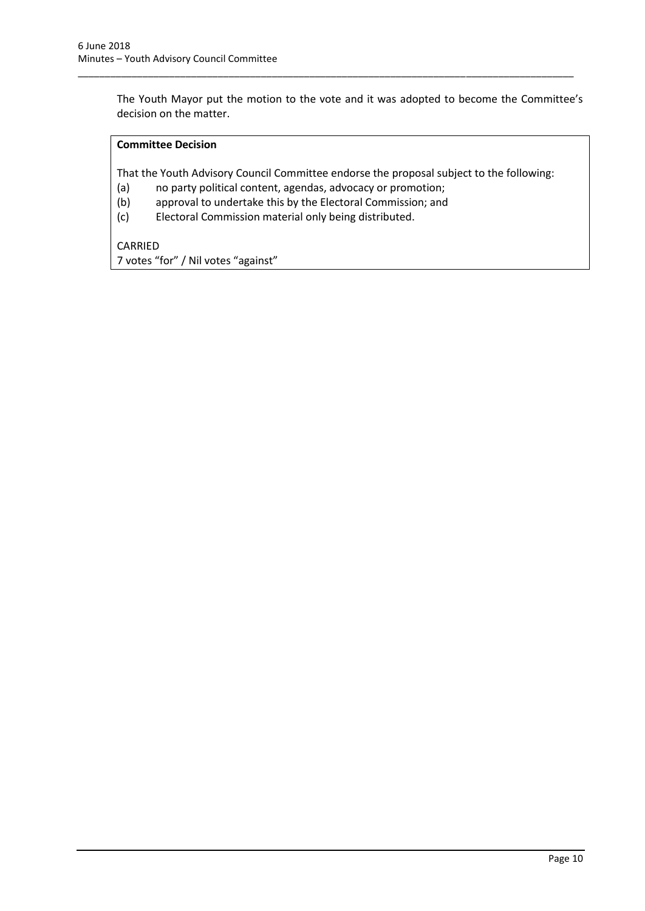The Youth Mayor put the motion to the vote and it was adopted to become the Committee's decision on the matter.

### **Committee Decision**

That the Youth Advisory Council Committee endorse the proposal subject to the following:

\_\_\_\_\_\_\_\_\_\_\_\_\_\_\_\_\_\_\_\_\_\_\_\_\_\_\_\_\_\_\_\_\_\_\_\_\_\_\_\_\_\_\_\_\_\_\_\_\_\_\_\_\_\_\_\_\_\_\_\_\_\_\_\_\_\_\_\_\_\_\_\_\_\_\_\_\_\_\_\_\_\_\_\_\_\_\_\_\_\_\_\_

- (a) no party political content, agendas, advocacy or promotion;
- (b) approval to undertake this by the Electoral Commission; and
- (c) Electoral Commission material only being distributed.

CARRIED 7 votes "for" / Nil votes "against"